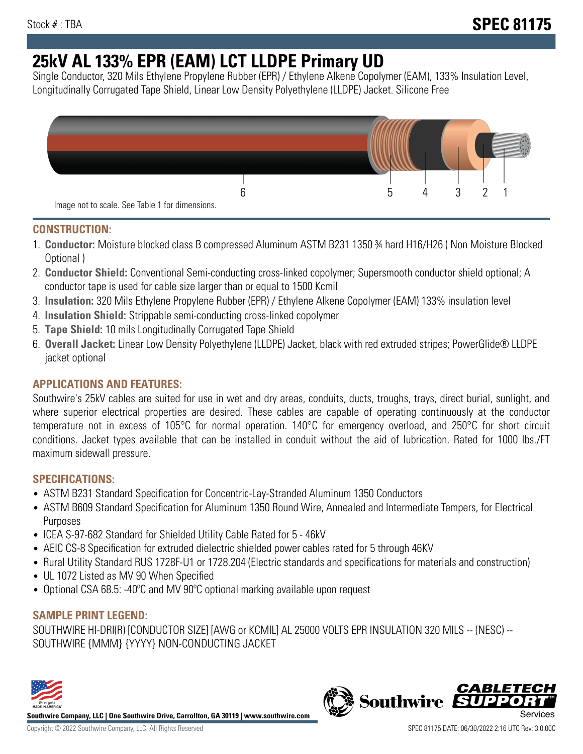# **25kV AL 133% EPR (EAM) LCT LLDPE Primary UD**

Single Conductor, 320 Mils Ethylene Propylene Rubber (EPR) / Ethylene Alkene Copolymer (EAM), 133% Insulation Level, Longitudinally Corrugated Tape Shield, Linear Low Density Polyethylene (LLDPE) Jacket. Silicone Free



### **CONSTRUCTION:**

- 1. **Conductor:** Moisture blocked class B compressed Aluminum ASTM B231 1350 ¾ hard H16/H26 ( Non Moisture Blocked Optional )
- 2. **Conductor Shield:** Conventional Semi-conducting cross-linked copolymer; Supersmooth conductor shield optional; A conductor tape is used for cable size larger than or equal to 1500 Kcmil
- 3. **Insulation:** 320 Mils Ethylene Propylene Rubber (EPR) / Ethylene Alkene Copolymer (EAM) 133% insulation level
- 4. **Insulation Shield:** Strippable semi-conducting cross-linked copolymer
- 5. **Tape Shield:** 10 mils Longitudinally Corrugated Tape Shield
- 6. **Overall Jacket:** Linear Low Density Polyethylene (LLDPE) Jacket, black with red extruded stripes; PowerGlide® LLDPE jacket optional

## **APPLICATIONS AND FEATURES:**

Southwire's 25kV cables are suited for use in wet and dry areas, conduits, ducts, troughs, trays, direct burial, sunlight, and where superior electrical properties are desired. These cables are capable of operating continuously at the conductor temperature not in excess of 105°C for normal operation. 140°C for emergency overload, and 250°C for short circuit conditions. Jacket types available that can be installed in conduit without the aid of lubrication. Rated for 1000 lbs./FT maximum sidewall pressure.

#### **SPECIFICATIONS:**

- ASTM B231 Standard Specification for Concentric-Lay-Stranded Aluminum 1350 Conductors
- ASTM B609 Standard Specification for Aluminum 1350 Round Wire, Annealed and Intermediate Tempers, for Electrical Purposes
- ICEA S-97-682 Standard for Shielded Utility Cable Rated for 5 46kV
- AEIC CS-8 Specification for extruded dielectric shielded power cables rated for 5 through 46KV
- Rural Utility Standard RUS 1728F-U1 or 1728.204 (Electric standards and specifications for materials and construction)
- UL 1072 Listed as MV 90 When Specified
- Optional CSA 68.5: -40ºC and MV 90ºC optional marking available upon request

#### **SAMPLE PRINT LEGEND:**

SOUTHWIRE HI-DRI(R) [CONDUCTOR SIZE] [AWG or KCMIL] AL 25000 VOLTS EPR INSULATION 320 MILS -- (NESC) -- SOUTHWIRE {MMM} {YYYY} NON-CONDUCTING JACKET



**Southwire Company, LLC | One Southwire Drive, Carrollton, GA 30119 | www.southwire.com**